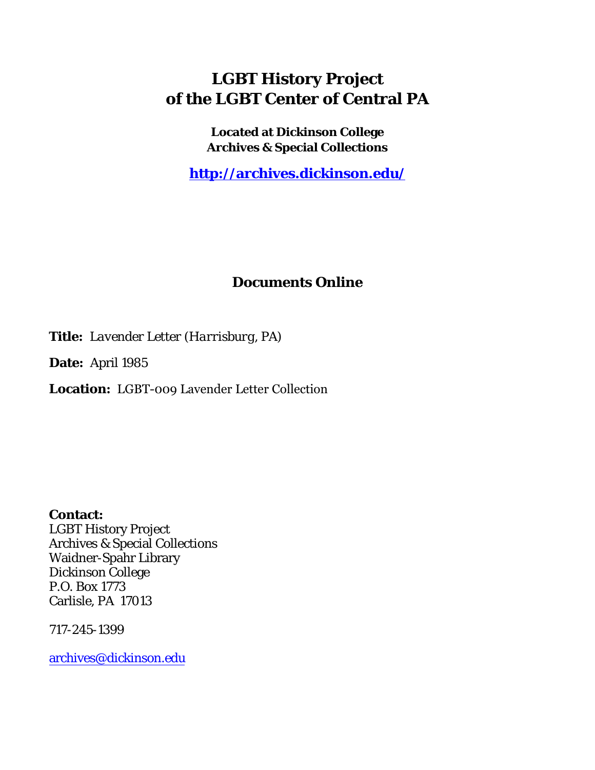## **LGBT History Project of the LGBT Center of Central PA**

**Located at Dickinson College Archives & Special Collections**

**<http://archives.dickinson.edu/>**

## **Documents Online**

**Title:** *Lavender Letter (Harrisburg, PA)*

**Date:** April 1985

**Location:** LGBT-009 Lavender Letter Collection

**Contact:**  LGBT History Project Archives & Special Collections Waidner-Spahr Library Dickinson College P.O. Box 1773 Carlisle, PA 17013

717-245-1399

[archives@dickinson.edu](mailto:archives@dickinson.edu)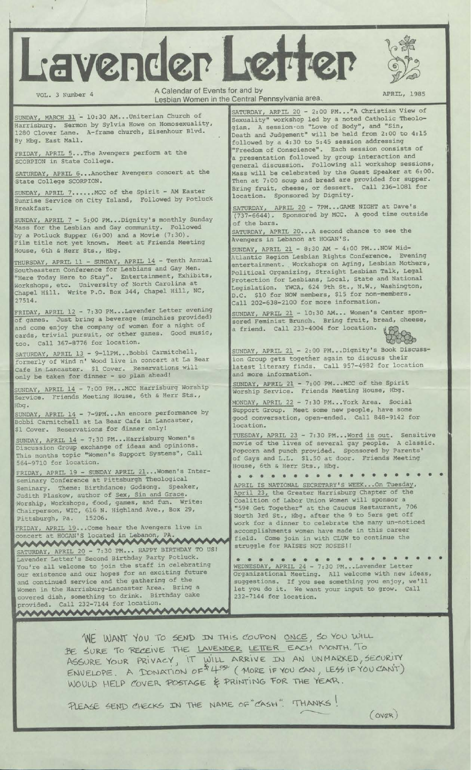



1

VOL. 3 Number 4 A Calendar of Events for and by APRIL, 1985<br>Lesbian Women in the Central Pennsylvania area.

SUNDAY, MARCH 31 - 10:30 AM...Uniterian Church of Harrisburg. Sermon by Sylvia Howe on Homosexuality, 1280 Clover Lane. A-frame church, Eisenhour Blvd. By Hbg. East Mall.

FRIDAY, APRIL 5...The Avengers perform at the SCORPION in State College.

ATURDAY, APRIL 6... Another Avengers concert at the State College SCORPION.

MCC of the Spirit - AM Easter Sunrise Service on City Island, Followed by Potluck Breakfast. SUNDAY, APRIL 7

SUNDAY, APRIL 7 - 5:00 PM...Dignity's monthly Sunday Mass for the Lesbian and Gay community. Followed by a Potluck Supper (6:00) and a Movie (7:30). Film title not yet known. Meet at Friends Meeting House, 6th s Herr Sts., Hbg.

THURSDAY, APRIL 11 - SUNDAY, APRIL 14 - Tenth Annual Southeastern Conference for Lesbians and Gay Men. "Here Today Here to Stay". Entertainment, Exhibits, Workshops, etc. University of North Carolina at Chapel Hill. Write P.O. Box 344, Chapel Hill, NC, 27514.

FRIDAY, APRIL 12 - 7:30 PM...Lavender Letter evening of games. Just bring a beverage (munchies provided) and come enjoy the company of women for a night of cards, trivial pursuit, or other games. Good music, too. Call 367-8776 for location.

SATURDAY, APRIL 13 - 9-11PM...Bobbi Carmitchell, formerly of Wind n' Wood live in concert at La Bear Reservations will Cafe in Lancaster. \$1 Cover. Reservations only be taken for dinner - so plan ahead!

SUNDAY, APRIL 14 - 7:00 PM...MCC Harrisburg Worship Service. Friends Meeting House, 6th & Herr Sts., Hbg.

SUNDAY, APRIL 14 - 7-9PM\_\_ An encore performance by Bobbi Carmitchell at La Bear Cafe in Lancaster, \$1 Cover. Reservations for dinner only!

SUNDAY, APRIL 14 - 7:30 PM...Harrisburg Women's Discussion Group exchange of ideas and opinions. This months topic "Women's Support Systems", Call 564-9710 for location.

FRIDAY, APRIL 19 - SUNDAY APRIL 21...Women's Interseminary Conference at Pittsburgh Theological Seminary. Theme: Birthdance; Godsong. Speaker, Judith Plaskow, author of Sex, Sin and Grace.<br>Worship Workshops, food, games, and fun. Write: Worship, Workshops, food, games, and fun. Chairperson, WIC, 616 N. Highland Ave., Box 29, Pittsburgh, Pa. 15206.

FRIDAY, APRIL 19...Come hear the Avengers live in concert at HOGAN'S located in Lebanon, PA. . .

STRUGGLE FOR RAISES SATURDAY TO US! Struggle for RAISES Lavender Letter's Second Birthday Party Potluck. You're all welcome to join the staff in celebrating our existence and our hopes for an exciting future and continued service and the gathering of the Women in the Harrisburg-Lancaster Area. Bring a<br>covered dish. something to drink. Birthday cake covered dish, something to drink. Birthday cake provided. Call 232-7144 for location.

SATURDAY, ARPIL 20 - 2:00 PM..."A Christian View of Sexuality" workshop led by a noted Catholic Theologian. A session-on "Love of Body", and "Sin, Death and Judgement" will be held from 2:00 to 4:15 followed by a 4:30 to 5:45 session addressing "Freedom of Conscience". Each session consists of a presentation followed by group interaction and general discussion. Following all workshop sessions, Mass will be celebrated by the Guest Speaker at 6:00. Then at 7:00 soup and bread are provided for supper. Bring fruit, cheese, or dessert. Call 236-1081 for location. Sponsored by Dignity

SATURDAY, APRIL 20 - 7PM...GAME NIGHT by MCC. A good at Dave'<sup>s</sup> (737-6644). Sponsored by MCC. A good time outside of the bars.

SATURDAY, APRIL 20...A Avengers in Lebanon at second chance to see the HOGAN'S.

SUNDAY, APRIL 21 - 8:30 AM - 4:00 PM-- NOW Mid-Atlantic Region Lesbian Rights Conference. Evening entertainment. Workshops on Aging, Lesbian Mothers, Political Organizing, Straight Lesbian Talk, Legal Protection for Lesbians, Local, State and National Legislation. YWCA, 624 9th St., N.W., Washington, D.C: \$10 for NOW members, \$15 for non-members. Call 202-638-2100 for more information.

SUNDAY, APRIL 21 - 10:30 AM... Women's Center sponsored Feminist Brunch. Bring fruit, bread, cheese,<br>a friend. Call 233-4004 for location. a friend. Call 233-4004 for location



SUNDAY, APRIL 21 - 2:00 PM...Dignity's Book Discussion Group gets together again to discuss their Call 957-4982 for location latest literary finds, and more information.

SUNDAY, APRIL 21 - 7:00 PM...MCC of the Spirit Worship Service. Friends Meeting House, Hbg.

MONDAY, APRIL 22 - 7:30 PM...York Area. Social Support Group. Meet some new people, have some good conversation, open-ended. Call 848-9142 for location.

TUESDAY, APRIL 23 - 7:30 PM...Word is out Sensitive movie of the lives of several gay people. Popcorn and punch of Gays and L.L. House, 6th *& Herr* provided. Sponsored by \$1.50 at door. Friends sts., Hbg.<br>••••••••• A classic. Parents' Meeting • •

• • • APRIL IS NATIONAL SECRETARY1S WEEK...On Tuesday, April 23, the Greater Harrisburg Chapter of the Coalition of Labor Union Women will sponsor a "59\* Get Together" at the Caucus Restaurant, 706 North 3rd St., Hbg. after the 9 to 5ers get off work for a dinner to celebrate the many un-noticed accomplishments women have made in this career field. Come join in with CLUW to continue the struggle for RAISES NOT ROSES! I

• •••••••••••••••••• WEDNESDAY, APRIL 24 - 7:30 PM...Lavender Letter Organizational Meeting. All welcome with new ideas, suggestions. If you see something you enjoy, we'll let you do it. We want your input to grow. Call 232-7144 for location.

WE WANT YOU TO SEND IN THIS COUPON ONCE, SO YOU WILL BE SURE TO RECEIVE THE LAVENDER LETTER EACH MONTH. TO ASSURE YOUR PRIVACY, IT WILL ARRIVE IN AN UNMARKED, SECURITY  $ENVELOPE.$  A DONATION OF  $44^\circ$  (MORE IF YOU CAN, LESS IF YOU CAN'T) WOULD HELP COVER POSTAGE & PRINTING FOR THE YEAR.

PLEASE SEND CHECKS IN THE NAME OF "CASH". THANKS!

 $(ovQR)$